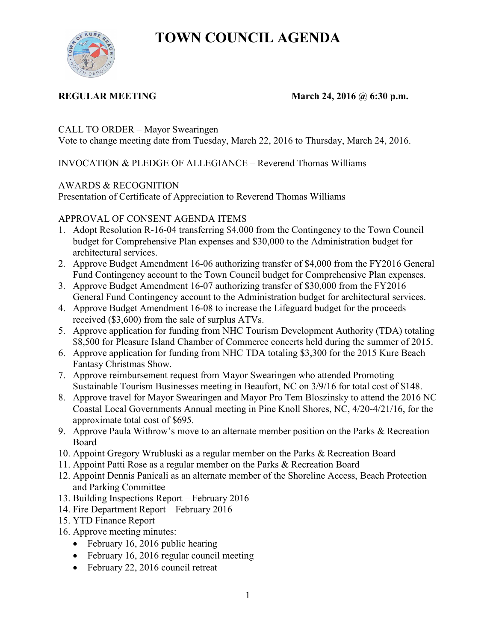# **TOWN COUNCIL AGENDA**



## **REGULAR MEETING MARGE MARGE MARGE MARGE MARGE MARGE MARGE MARGE MARGE MARGE MARGE MARGE MARGE MARGE MARGE MARGE MARGE MARGE MARGE MARGE MARGE MARGE MARGE MARGE MARGE MARGE MARGE MARGE MARGE MARGE MARGE MARGE MARGE MARGE M**

CALL TO ORDER – Mayor Swearingen

Vote to change meeting date from Tuesday, March 22, 2016 to Thursday, March 24, 2016.

INVOCATION & PLEDGE OF ALLEGIANCE – Reverend Thomas Williams

# AWARDS & RECOGNITION

Presentation of Certificate of Appreciation to Reverend Thomas Williams

# APPROVAL OF CONSENT AGENDA ITEMS

- 1. Adopt Resolution R-16-04 transferring \$4,000 from the Contingency to the Town Council budget for Comprehensive Plan expenses and \$30,000 to the Administration budget for architectural services.
- 2. Approve Budget Amendment 16-06 authorizing transfer of \$4,000 from the FY2016 General Fund Contingency account to the Town Council budget for Comprehensive Plan expenses.
- 3. Approve Budget Amendment 16-07 authorizing transfer of \$30,000 from the FY2016 General Fund Contingency account to the Administration budget for architectural services.
- 4. Approve Budget Amendment 16-08 to increase the Lifeguard budget for the proceeds received (\$3,600) from the sale of surplus ATVs.
- 5. Approve application for funding from NHC Tourism Development Authority (TDA) totaling \$8,500 for Pleasure Island Chamber of Commerce concerts held during the summer of 2015.
- 6. Approve application for funding from NHC TDA totaling \$3,300 for the 2015 Kure Beach Fantasy Christmas Show.
- 7. Approve reimbursement request from Mayor Swearingen who attended Promoting Sustainable Tourism Businesses meeting in Beaufort, NC on 3/9/16 for total cost of \$148.
- 8. Approve travel for Mayor Swearingen and Mayor Pro Tem Bloszinsky to attend the 2016 NC Coastal Local Governments Annual meeting in Pine Knoll Shores, NC, 4/20-4/21/16, for the approximate total cost of \$695.
- 9. Approve Paula Withrow's move to an alternate member position on the Parks & Recreation Board
- 10. Appoint Gregory Wrubluski as a regular member on the Parks & Recreation Board
- 11. Appoint Patti Rose as a regular member on the Parks & Recreation Board
- 12. Appoint Dennis Panicali as an alternate member of the Shoreline Access, Beach Protection and Parking Committee
- 13. Building Inspections Report February 2016
- 14. Fire Department Report February 2016
- 15. YTD Finance Report
- 16. Approve meeting minutes:
	- February 16, 2016 public hearing
	- February 16, 2016 regular council meeting
	- February 22, 2016 council retreat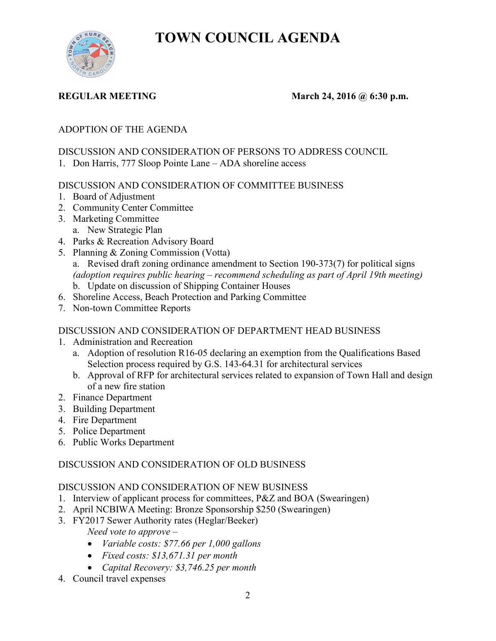**TOWN COUNCIL AGENDA** 



### **REGULAR MEETING March 24, 2016 @ 6:30 p.m.**

# ADOPTION OF THE AGENDA

### DISCUSSION AND CONSIDERATION OF PERSONS TO ADDRESS COUNCIL

1. Don Harris, 777 Sloop Pointe Lane – ADA shoreline access

### DISCUSSION AND CONSIDERATION OF COMMITTEE BUSINESS

- 1. Board of Adjustment
- 2. Community Center Committee
- 3. Marketing Committee a. New Strategic Plan
- 4. Parks & Recreation Advisory Board
- 5. Planning & Zoning Commission (Votta)
	- a. Revised draft zoning ordinance amendment to Section 190-373(7) for political signs *(adoption requires public hearing – recommend scheduling as part of April 19th meeting)*  b. Update on discussion of Shipping Container Houses
- 6. Shoreline Access, Beach Protection and Parking Committee
- 7. Non-town Committee Reports

#### DISCUSSION AND CONSIDERATION OF DEPARTMENT HEAD BUSINESS

- 1. Administration and Recreation
	- a. Adoption of resolution R16-05 declaring an exemption from the Qualifications Based Selection process required by G.S. 143-64.31 for architectural services
	- b. Approval of RFP for architectural services related to expansion of Town Hall and design of a new fire station
- 2. Finance Department
- 3. Building Department
- 4. Fire Department
- 5. Police Department
- 6. Public Works Department

# DISCUSSION AND CONSIDERATION OF OLD BUSINESS

#### DISCUSSION AND CONSIDERATION OF NEW BUSINESS

- 1. Interview of applicant process for committees, P&Z and BOA (Swearingen)
- 2. April NCBIWA Meeting: Bronze Sponsorship \$250 (Swearingen)
- 3. FY2017 Sewer Authority rates (Heglar/Beeker)

*Need vote to approve –* 

- *Variable costs: \$77.66 per 1,000 gallons*
- *Fixed costs: \$13,671.31 per month*
- *Capital Recovery: \$3,746.25 per month*
- 4. Council travel expenses